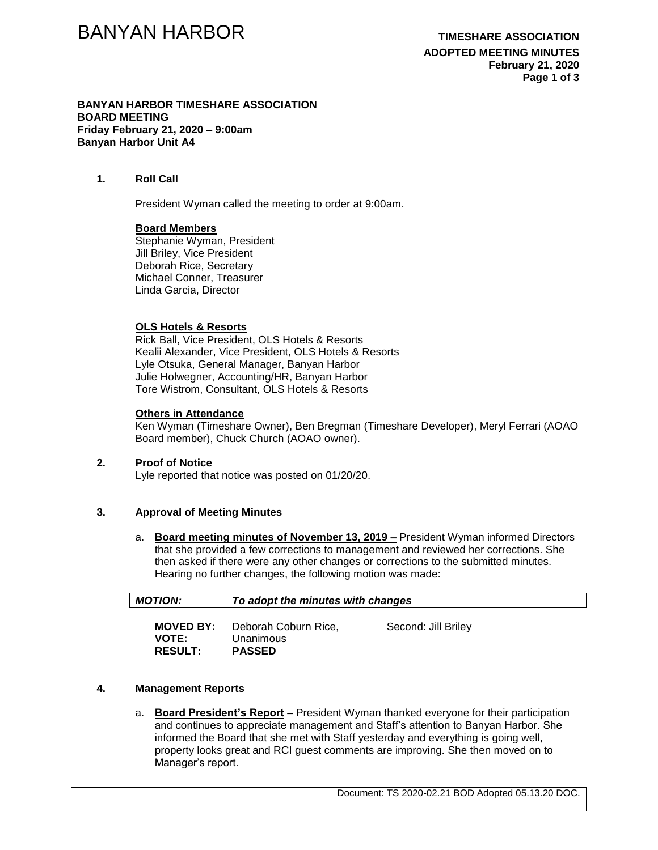**ADOPTED MEETING MINUTES February 21, 2020 Page 1 of 3**

**BANYAN HARBOR TIMESHARE ASSOCIATION BOARD MEETING Friday February 21, 2020 – 9:00am Banyan Harbor Unit A4**

### **1. Roll Call**

President Wyman called the meeting to order at 9:00am.

#### **Board Members**

Stephanie Wyman, President Jill Briley, Vice President Deborah Rice, Secretary Michael Conner, Treasurer Linda Garcia, Director

### **OLS Hotels & Resorts**

Rick Ball, Vice President, OLS Hotels & Resorts Kealii Alexander, Vice President, OLS Hotels & Resorts Lyle Otsuka, General Manager, Banyan Harbor Julie Holwegner, Accounting/HR, Banyan Harbor Tore Wistrom, Consultant, OLS Hotels & Resorts

#### **Others in Attendance**

Ken Wyman (Timeshare Owner), Ben Bregman (Timeshare Developer), Meryl Ferrari (AOAO Board member), Chuck Church (AOAO owner).

#### **2. Proof of Notice**

Lyle reported that notice was posted on 01/20/20.

# **3. Approval of Meeting Minutes**

a. **Board meeting minutes of November 13, 2019 –** President Wyman informed Directors that she provided a few corrections to management and reviewed her corrections. She then asked if there were any other changes or corrections to the submitted minutes. Hearing no further changes, the following motion was made:

| <b>MOTION:</b>                                     | To adopt the minutes with changes                  |                     |  |
|----------------------------------------------------|----------------------------------------------------|---------------------|--|
| <b>MOVED BY:</b><br><b>VOTE:</b><br><b>RESULT:</b> | Deborah Coburn Rice,<br>Unanimous<br><b>PASSED</b> | Second: Jill Briley |  |

# **4. Management Reports**

a. **Board President's Report –** President Wyman thanked everyone for their participation and continues to appreciate management and Staff's attention to Banyan Harbor. She informed the Board that she met with Staff yesterday and everything is going well, property looks great and RCI guest comments are improving. She then moved on to Manager's report.

Document: TS 2020-02.21 BOD Adopted 05.13.20 DOC.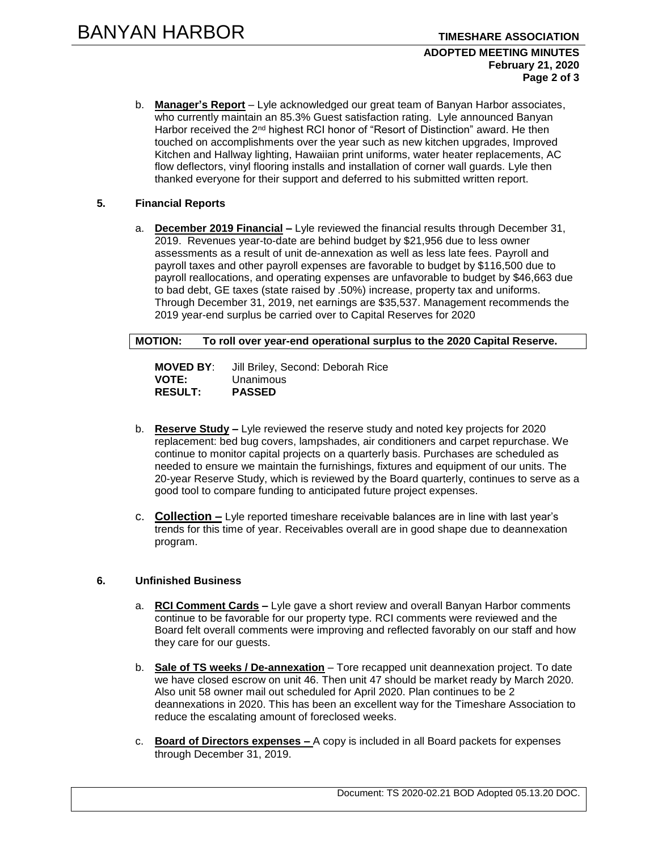### **ADOPTED MEETING MINUTES February 21, 2020 Page 2 of 3**

b. **Manager's Report** – Lyle acknowledged our great team of Banyan Harbor associates, who currently maintain an 85.3% Guest satisfaction rating. Lyle announced Banyan Harbor received the 2<sup>nd</sup> highest RCI honor of "Resort of Distinction" award. He then touched on accomplishments over the year such as new kitchen upgrades, Improved Kitchen and Hallway lighting, Hawaiian print uniforms, water heater replacements, AC flow deflectors, vinyl flooring installs and installation of corner wall guards. Lyle then thanked everyone for their support and deferred to his submitted written report.

# **5. Financial Reports**

a. **December 2019 Financial –** Lyle reviewed the financial results through December 31, 2019. Revenues year-to-date are behind budget by \$21,956 due to less owner assessments as a result of unit de-annexation as well as less late fees. Payroll and payroll taxes and other payroll expenses are favorable to budget by \$116,500 due to payroll reallocations, and operating expenses are unfavorable to budget by \$46,663 due to bad debt, GE taxes (state raised by .50%) increase, property tax and uniforms. Through December 31, 2019, net earnings are \$35,537. Management recommends the 2019 year-end surplus be carried over to Capital Reserves for 2020

**MOTION: To roll over year-end operational surplus to the 2020 Capital Reserve.**

**MOVED BY**: Jill Briley, Second: Deborah Rice **VOTE:** Unanimous **RESULT: PASSED**

- b. **Reserve Study –** Lyle reviewed the reserve study and noted key projects for 2020 replacement: bed bug covers, lampshades, air conditioners and carpet repurchase. We continue to monitor capital projects on a quarterly basis. Purchases are scheduled as needed to ensure we maintain the furnishings, fixtures and equipment of our units. The 20-year Reserve Study, which is reviewed by the Board quarterly, continues to serve as a good tool to compare funding to anticipated future project expenses.
- c. **Collection –** Lyle reported timeshare receivable balances are in line with last year's trends for this time of year. Receivables overall are in good shape due to deannexation program.

# **6. Unfinished Business**

- a. **RCI Comment Cards –** Lyle gave a short review and overall Banyan Harbor comments continue to be favorable for our property type. RCI comments were reviewed and the Board felt overall comments were improving and reflected favorably on our staff and how they care for our guests.
- b. **Sale of TS weeks / De-annexation** Tore recapped unit deannexation project. To date we have closed escrow on unit 46. Then unit 47 should be market ready by March 2020. Also unit 58 owner mail out scheduled for April 2020. Plan continues to be 2 deannexations in 2020. This has been an excellent way for the Timeshare Association to reduce the escalating amount of foreclosed weeks.
- c. **Board of Directors expenses –** A copy is included in all Board packets for expenses through December 31, 2019.